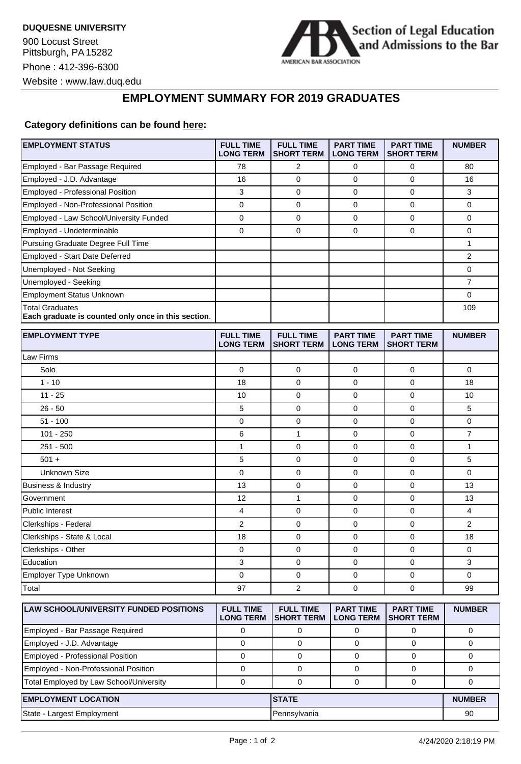900 Locust Street Pittsburgh, PA 15282 Phone : 412-396-6300 Website : www.law.duq.edu



## **EMPLOYMENT SUMMARY FOR 2019 GRADUATES**

## **Category definitions can be found [here:](https://www.americanbar.org/content/dam/aba/administrative/legal_education_and_admissions_to_the_bar/Questionnaires/2020employmentquestionnaire/2020-aba-employment-protocols-class-of-2019.pdf)**

| <b>EMPLOYMENT STATUS</b>                                                      | <b>FULL TIME</b><br><b>LONG TERM</b> | <b>FULL TIME</b><br><b>SHORT TERM</b> | <b>PART TIME</b><br><b>LONG TERM</b> | <b>PART TIME</b><br><b>SHORT TERM</b> | <b>NUMBER</b>  |
|-------------------------------------------------------------------------------|--------------------------------------|---------------------------------------|--------------------------------------|---------------------------------------|----------------|
| Employed - Bar Passage Required                                               | 78                                   | 2                                     | 0                                    | 0                                     | 80             |
| Employed - J.D. Advantage                                                     | 16                                   | $\mathbf 0$                           | 0                                    | 0                                     | 16             |
| Employed - Professional Position                                              | 3                                    | $\mathbf 0$                           | 0                                    | $\mathbf 0$                           | 3              |
| Employed - Non-Professional Position                                          | 0                                    | 0                                     | 0                                    | 0                                     | 0              |
| Employed - Law School/University Funded                                       | 0                                    | $\mathbf 0$                           | $\mathbf 0$                          | 0                                     | 0              |
| Employed - Undeterminable                                                     | 0                                    | $\mathbf 0$                           | $\mathbf 0$                          | $\mathbf 0$                           | 0              |
| Pursuing Graduate Degree Full Time                                            |                                      |                                       |                                      |                                       | 1              |
| Employed - Start Date Deferred                                                |                                      |                                       |                                      |                                       | 2              |
| Unemployed - Not Seeking                                                      |                                      |                                       |                                      |                                       | 0              |
| Unemployed - Seeking                                                          |                                      |                                       |                                      |                                       | $\overline{7}$ |
| Employment Status Unknown                                                     |                                      |                                       |                                      |                                       | 0              |
| <b>Total Graduates</b><br>Each graduate is counted only once in this section. |                                      |                                       |                                      |                                       | 109            |
| <b>EMPLOYMENT TYPE</b>                                                        | <b>FULL TIME</b><br><b>LONG TERM</b> | <b>FULL TIME</b><br><b>SHORT TERM</b> | <b>PART TIME</b><br><b>LONG TERM</b> | <b>PART TIME</b><br><b>SHORT TERM</b> | <b>NUMBER</b>  |
| Law Firms                                                                     |                                      |                                       |                                      |                                       |                |
| Solo                                                                          | 0                                    | $\mathbf 0$                           | 0                                    | 0                                     | 0              |
| $1 - 10$                                                                      | 18                                   | 0                                     | 0                                    | $\mathbf 0$                           | 18             |
| $11 - 25$                                                                     | 10                                   | 0                                     | 0                                    | $\mathbf 0$                           | 10             |
| $26 - 50$                                                                     | 5                                    | $\mathbf 0$                           | 0                                    | 0                                     | 5              |
| $51 - 100$                                                                    | 0                                    | 0                                     | 0                                    | 0                                     | 0              |
| $101 - 250$                                                                   | 6                                    | 1                                     | 0                                    | $\mathbf 0$                           | $\overline{7}$ |
| $251 - 500$                                                                   | 1                                    | 0                                     | 0                                    | $\mathbf 0$                           | 1              |
| $501 +$                                                                       | 5                                    | $\mathbf 0$                           | 0                                    | $\mathbf 0$                           | 5              |
| Unknown Size                                                                  | 0                                    | $\mathbf 0$                           | $\mathbf 0$                          | $\mathbf 0$                           | $\mathbf 0$    |
| <b>Business &amp; Industry</b>                                                | 13                                   | 0                                     | 0                                    | 0                                     | 13             |
| Government                                                                    | 12                                   | $\mathbf{1}$                          | 0                                    | $\mathbf 0$                           | 13             |
| <b>Public Interest</b>                                                        | 4                                    | $\mathbf 0$                           | 0                                    | $\mathbf 0$                           | 4              |
| Clerkships - Federal                                                          | $\overline{2}$                       | $\mathbf 0$                           | 0                                    | 0                                     | 2              |
| Clerkships - State & Local                                                    | 18                                   | 0                                     | 0                                    | $\mathbf 0$                           | 18             |
| Clerkships - Other                                                            | 0                                    | 0                                     | 0                                    | 0                                     | 0              |
| Education                                                                     | 3                                    | 0                                     | 0                                    | 0                                     | 3              |
| Employer Type Unknown                                                         | 0                                    | 0                                     | 0                                    | 0                                     | 0              |
| Total                                                                         | 97                                   | 2                                     | $\mathbf 0$                          | $\mathbf 0$                           | 99             |
| <b>LAW SCHOOL/UNIVERSITY FUNDED POSITIONS</b>                                 | <b>FULL TIME</b><br><b>LONG TERM</b> | <b>FULL TIME</b><br><b>SHORT TERM</b> | <b>PART TIME</b><br><b>LONG TERM</b> | <b>PART TIME</b><br><b>SHORT TERM</b> | <b>NUMBER</b>  |
| Employed - Bar Passage Required                                               | 0                                    | 0                                     | 0                                    | 0                                     | 0              |
| Employed - J.D. Advantage                                                     | $\mathbf 0$                          | $\mathbf 0$                           | 0                                    | $\mathbf 0$                           | 0              |
| Employed - Professional Position                                              | 0                                    | 0                                     | 0                                    | 0                                     | 0              |
| Employed - Non-Professional Position                                          | 0                                    | 0                                     | 0                                    | 0                                     | 0              |
| Total Employed by Law School/University                                       | $\pmb{0}$                            | $\mathbf 0$                           | 0                                    | 0                                     | 0              |
| <b>EMPLOYMENT LOCATION</b>                                                    |                                      | <b>STATE</b>                          |                                      |                                       | <b>NUMBER</b>  |
| State - Largest Employment                                                    |                                      | Pennsylvania                          |                                      |                                       | 90             |
|                                                                               |                                      |                                       |                                      |                                       |                |